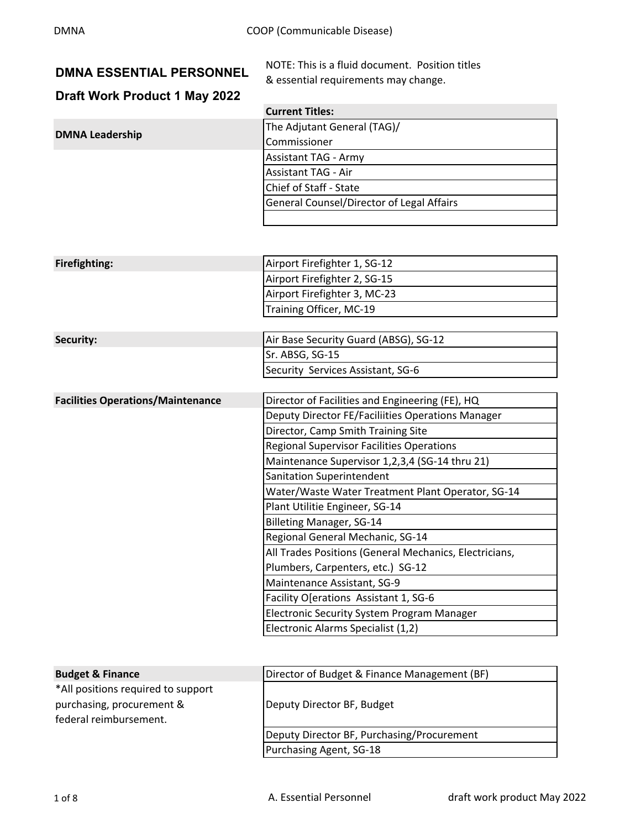**DMNA** Leadership

|  | <b>DMNA ESSENTIAL PERSONNEL</b> |
|--|---------------------------------|
|  |                                 |

**NOTE: This is a fluid document. Position titles** & essential requirements may change.

# **Draft Work Product 1 May 2022**

| <b>Current Titles:</b>                    |
|-------------------------------------------|
| The Adjutant General (TAG)/               |
| Commissioner                              |
| <b>Assistant TAG - Army</b>               |
| <b>Assistant TAG - Air</b>                |
| Chief of Staff - State                    |
| General Counsel/Director of Legal Affairs |
|                                           |

| Firefighting: | Airport Firefighter 1, SG-12 |
|---------------|------------------------------|
|               | Airport Firefighter 2, SG-15 |
|               | Airport Firefighter 3, MC-23 |
|               | Training Officer, MC-19      |
|               |                              |

| <b>Security:</b> | Air Base Security Guard (ABSG), SG-12 |
|------------------|---------------------------------------|
|                  | ISr. ABSG. SG-15                      |
|                  | Security Services Assistant, SG-6     |

| <b>Facilities Operations/Maintenance</b> | Director of Facilities and Engineering (FE), HQ        |  |
|------------------------------------------|--------------------------------------------------------|--|
|                                          | Deputy Director FE/Faciliities Operations Manager      |  |
|                                          | Director, Camp Smith Training Site                     |  |
|                                          | <b>Regional Supervisor Facilities Operations</b>       |  |
|                                          | Maintenance Supervisor 1,2,3,4 (SG-14 thru 21)         |  |
|                                          | <b>Sanitation Superintendent</b>                       |  |
|                                          | Water/Waste Water Treatment Plant Operator, SG-14      |  |
|                                          | Plant Utilitie Engineer, SG-14                         |  |
|                                          | Billeting Manager, SG-14                               |  |
|                                          | Regional General Mechanic, SG-14                       |  |
|                                          | All Trades Positions (General Mechanics, Electricians, |  |
|                                          | Plumbers, Carpenters, etc.) SG-12                      |  |
|                                          | Maintenance Assistant, SG-9                            |  |
|                                          | Facility O[erations Assistant 1, SG-6                  |  |
|                                          | <b>Electronic Security System Program Manager</b>      |  |

| Electronic Alarms Specialist (1,2) |  |  |
|------------------------------------|--|--|
|------------------------------------|--|--|

| <b>Budget &amp; Finance</b>        | Director of Budget & Finance Management (BF) |
|------------------------------------|----------------------------------------------|
| *All positions required to support |                                              |
| purchasing, procurement &          | Deputy Director BF, Budget                   |
| federal reimbursement.             |                                              |
|                                    | Deputy Director BF, Purchasing/Procurement   |
|                                    | Purchasing Agent, SG-18                      |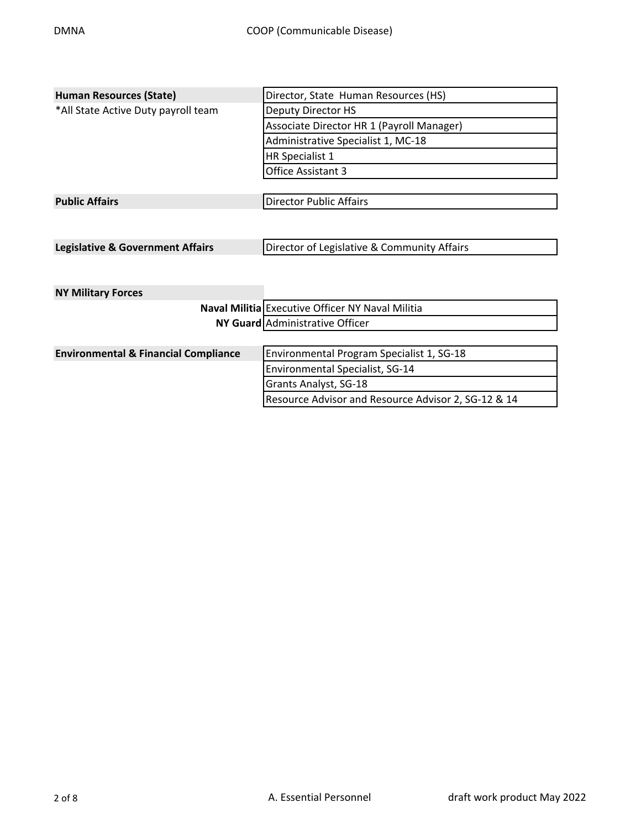| <b>Human Resources (State)</b>                  | Director, State Human Resources (HS)                |
|-------------------------------------------------|-----------------------------------------------------|
| *All State Active Duty payroll team             | <b>Deputy Director HS</b>                           |
|                                                 | Associate Director HR 1 (Payroll Manager)           |
|                                                 | Administrative Specialist 1, MC-18                  |
|                                                 | <b>HR Specialist 1</b>                              |
|                                                 | Office Assistant 3                                  |
|                                                 |                                                     |
| <b>Public Affairs</b>                           | <b>Director Public Affairs</b>                      |
|                                                 |                                                     |
|                                                 |                                                     |
| <b>Legislative &amp; Government Affairs</b>     | Director of Legislative & Community Affairs         |
|                                                 |                                                     |
|                                                 |                                                     |
| <b>NY Military Forces</b>                       |                                                     |
|                                                 | Naval Militia Executive Officer NY Naval Militia    |
|                                                 | NY Guard Administrative Officer                     |
|                                                 |                                                     |
| <b>Environmental &amp; Financial Compliance</b> | Environmental Program Specialist 1, SG-18           |
|                                                 | Environmental Specialist, SG-14                     |
|                                                 | Grants Analyst, SG-18                               |
|                                                 | Resource Advisor and Resource Advisor 2, SG-12 & 14 |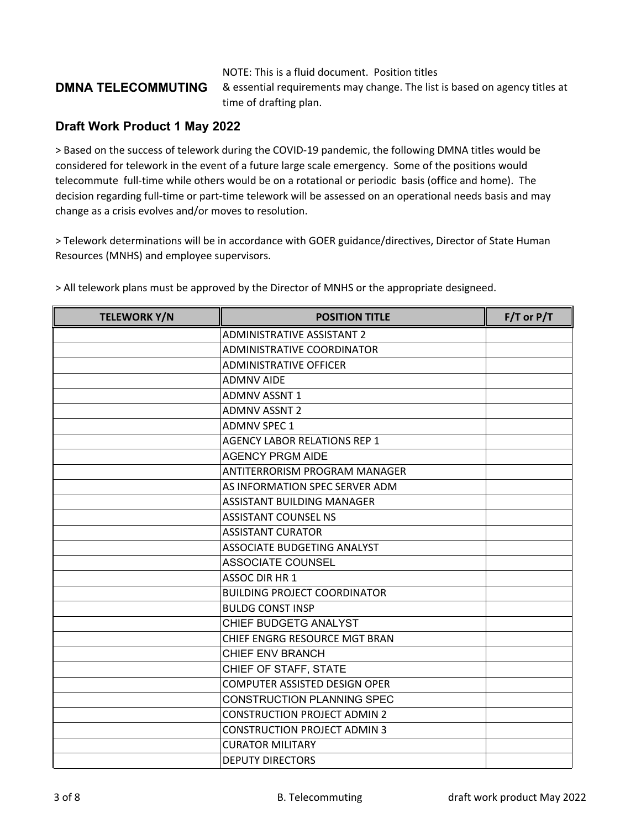#### NOTE: This is a fluid document. Position titles

### **DMNA TELECOMMUTING**

& essential requirements may change. The list is based on agency titles at time of drafting plan.

#### **Draft Work Product 1 May 2022**

> Based on the success of telework during the COVID‐19 pandemic, the following DMNA titles would be considered for telework in the event of a future large scale emergency. Some of the positions would telecommute full‐time while others would be on a rotational or periodic basis (office and home). The decision regarding full-time or part-time telework will be assessed on an operational needs basis and may change as a crisis evolves and/or moves to resolution.

> Telework determinations will be in accordance with GOER guidance/directives, Director of State Human Resources (MNHS) and employee supervisors.

| <b>TELEWORK Y/N</b> | <b>POSITION TITLE</b>               | $F/T$ or $P/T$ |
|---------------------|-------------------------------------|----------------|
|                     | <b>ADMINISTRATIVE ASSISTANT 2</b>   |                |
|                     | ADMINISTRATIVE COORDINATOR          |                |
|                     | <b>ADMINISTRATIVE OFFICER</b>       |                |
|                     | <b>ADMNV AIDE</b>                   |                |
|                     | <b>ADMNV ASSNT 1</b>                |                |
|                     | <b>ADMNV ASSNT 2</b>                |                |
|                     | <b>ADMNV SPEC 1</b>                 |                |
|                     | <b>AGENCY LABOR RELATIONS REP 1</b> |                |
|                     | <b>AGENCY PRGM AIDE</b>             |                |
|                     | ANTITERRORISM PROGRAM MANAGER       |                |
|                     | AS INFORMATION SPEC SERVER ADM      |                |
|                     | ASSISTANT BUILDING MANAGER          |                |
|                     | <b>ASSISTANT COUNSEL NS</b>         |                |
|                     | <b>ASSISTANT CURATOR</b>            |                |
|                     | ASSOCIATE BUDGETING ANALYST         |                |
|                     | <b>ASSOCIATE COUNSEL</b>            |                |
|                     | <b>ASSOC DIR HR 1</b>               |                |
|                     | <b>BUILDING PROJECT COORDINATOR</b> |                |
|                     | <b>BULDG CONST INSP</b>             |                |
|                     | CHIEF BUDGETG ANALYST               |                |
|                     | CHIEF ENGRG RESOURCE MGT BRAN       |                |
|                     | <b>CHIEF ENV BRANCH</b>             |                |
|                     | CHIEF OF STAFF, STATE               |                |
|                     | COMPUTER ASSISTED DESIGN OPER       |                |
|                     | <b>CONSTRUCTION PLANNING SPEC</b>   |                |
|                     | <b>CONSTRUCTION PROJECT ADMIN 2</b> |                |
|                     | <b>CONSTRUCTION PROJECT ADMIN 3</b> |                |
|                     | <b>CURATOR MILITARY</b>             |                |
|                     | <b>DEPUTY DIRECTORS</b>             |                |

> All telework plans must be approved by the Director of MNHS or the appropriate designeed.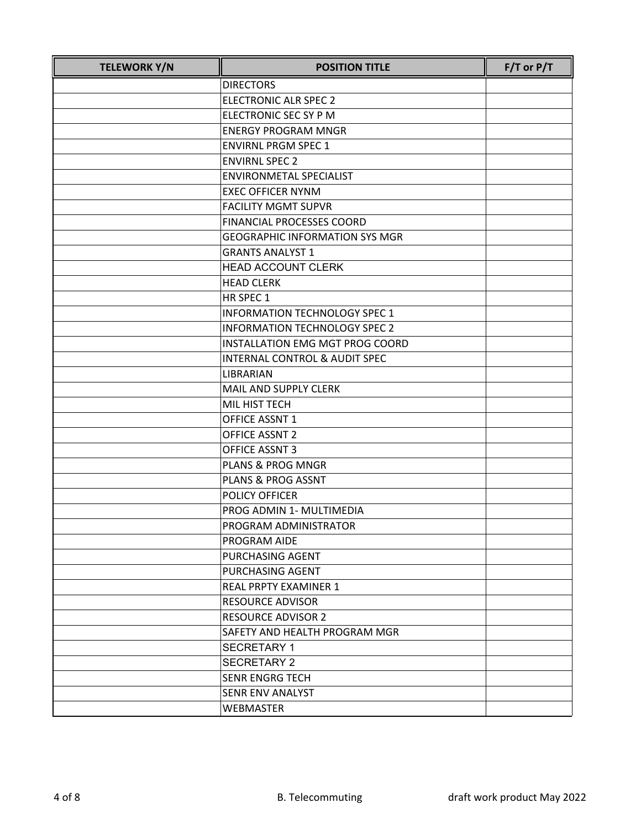| <b>TELEWORK Y/N</b> | <b>POSITION TITLE</b>                 | $F/T$ or $P/T$ |
|---------------------|---------------------------------------|----------------|
|                     | <b>DIRECTORS</b>                      |                |
|                     | <b>ELECTRONIC ALR SPEC 2</b>          |                |
|                     | ELECTRONIC SEC SY P M                 |                |
|                     | <b>ENERGY PROGRAM MNGR</b>            |                |
|                     | <b>ENVIRNL PRGM SPEC 1</b>            |                |
|                     | <b>ENVIRNL SPEC 2</b>                 |                |
|                     | <b>ENVIRONMETAL SPECIALIST</b>        |                |
|                     | <b>EXEC OFFICER NYNM</b>              |                |
|                     | <b>FACILITY MGMT SUPVR</b>            |                |
|                     | <b>FINANCIAL PROCESSES COORD</b>      |                |
|                     | <b>GEOGRAPHIC INFORMATION SYS MGR</b> |                |
|                     | <b>GRANTS ANALYST 1</b>               |                |
|                     | <b>HEAD ACCOUNT CLERK</b>             |                |
|                     | <b>HEAD CLERK</b>                     |                |
|                     | HR SPEC 1                             |                |
|                     | INFORMATION TECHNOLOGY SPEC 1         |                |
|                     | <b>INFORMATION TECHNOLOGY SPEC 2</b>  |                |
|                     | INSTALLATION EMG MGT PROG COORD       |                |
|                     | INTERNAL CONTROL & AUDIT SPEC         |                |
|                     | LIBRARIAN                             |                |
|                     | MAIL AND SUPPLY CLERK                 |                |
|                     | MIL HIST TECH                         |                |
|                     | OFFICE ASSNT 1                        |                |
|                     | <b>OFFICE ASSNT 2</b>                 |                |
|                     | <b>OFFICE ASSNT 3</b>                 |                |
|                     | <b>PLANS &amp; PROG MNGR</b>          |                |
|                     | PLANS & PROG ASSNT                    |                |
|                     | POLICY OFFICER                        |                |
|                     | PROG ADMIN 1- MULTIMEDIA              |                |
|                     | PROGRAM ADMINISTRATOR                 |                |
|                     | PROGRAM AIDE                          |                |
|                     | PURCHASING AGENT                      |                |
|                     | PURCHASING AGENT                      |                |
|                     | <b>REAL PRPTY EXAMINER 1</b>          |                |
|                     | <b>RESOURCE ADVISOR</b>               |                |
|                     | <b>RESOURCE ADVISOR 2</b>             |                |
|                     | SAFETY AND HEALTH PROGRAM MGR         |                |
|                     | <b>SECRETARY 1</b>                    |                |
|                     | <b>SECRETARY 2</b>                    |                |
|                     | <b>SENR ENGRG TECH</b>                |                |
|                     | SENR ENV ANALYST                      |                |
|                     | <b>WEBMASTER</b>                      |                |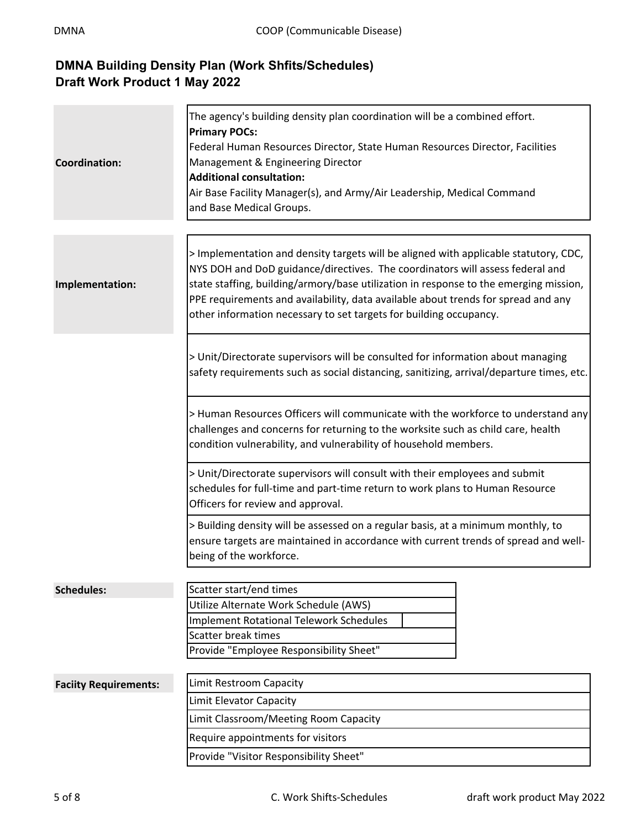### **DMNA Building Density Plan (Work Shfits/Schedules) Draft Work Product 1 May 2022**

 $\mathbf{r}$ 

 $\sim$ 

| <b>Coordination:</b>         | The agency's building density plan coordination will be a combined effort.<br><b>Primary POCs:</b><br>Federal Human Resources Director, State Human Resources Director, Facilities<br>Management & Engineering Director<br><b>Additional consultation:</b><br>Air Base Facility Manager(s), and Army/Air Leadership, Medical Command<br>and Base Medical Groups.                                                          |  |
|------------------------------|---------------------------------------------------------------------------------------------------------------------------------------------------------------------------------------------------------------------------------------------------------------------------------------------------------------------------------------------------------------------------------------------------------------------------|--|
|                              |                                                                                                                                                                                                                                                                                                                                                                                                                           |  |
| Implementation:              | > Implementation and density targets will be aligned with applicable statutory, CDC,<br>NYS DOH and DoD guidance/directives. The coordinators will assess federal and<br>state staffing, building/armory/base utilization in response to the emerging mission,<br>PPE requirements and availability, data available about trends for spread and any<br>other information necessary to set targets for building occupancy. |  |
|                              | > Unit/Directorate supervisors will be consulted for information about managing<br>safety requirements such as social distancing, sanitizing, arrival/departure times, etc.                                                                                                                                                                                                                                               |  |
|                              | > Human Resources Officers will communicate with the workforce to understand any<br>challenges and concerns for returning to the worksite such as child care, health<br>condition vulnerability, and vulnerability of household members.                                                                                                                                                                                  |  |
|                              | > Unit/Directorate supervisors will consult with their employees and submit<br>schedules for full-time and part-time return to work plans to Human Resource<br>Officers for review and approval.<br>> Building density will be assessed on a regular basis, at a minimum monthly, to<br>ensure targets are maintained in accordance with current trends of spread and well-<br>being of the workforce.                    |  |
|                              |                                                                                                                                                                                                                                                                                                                                                                                                                           |  |
| <b>Schedules:</b>            | Scatter start/end times                                                                                                                                                                                                                                                                                                                                                                                                   |  |
|                              | Utilize Alternate Work Schedule (AWS)                                                                                                                                                                                                                                                                                                                                                                                     |  |
|                              | <b>Implement Rotational Telework Schedules</b>                                                                                                                                                                                                                                                                                                                                                                            |  |
|                              | <b>Scatter break times</b><br>Provide "Employee Responsibility Sheet"                                                                                                                                                                                                                                                                                                                                                     |  |
|                              |                                                                                                                                                                                                                                                                                                                                                                                                                           |  |
| <b>Faciity Requirements:</b> | Limit Restroom Capacity                                                                                                                                                                                                                                                                                                                                                                                                   |  |
|                              | Limit Elevator Capacity                                                                                                                                                                                                                                                                                                                                                                                                   |  |
|                              | Limit Classroom/Meeting Room Capacity                                                                                                                                                                                                                                                                                                                                                                                     |  |
|                              | Require appointments for visitors                                                                                                                                                                                                                                                                                                                                                                                         |  |
|                              | Provide "Visitor Responsibility Sheet"                                                                                                                                                                                                                                                                                                                                                                                    |  |
|                              |                                                                                                                                                                                                                                                                                                                                                                                                                           |  |

 $\blacksquare$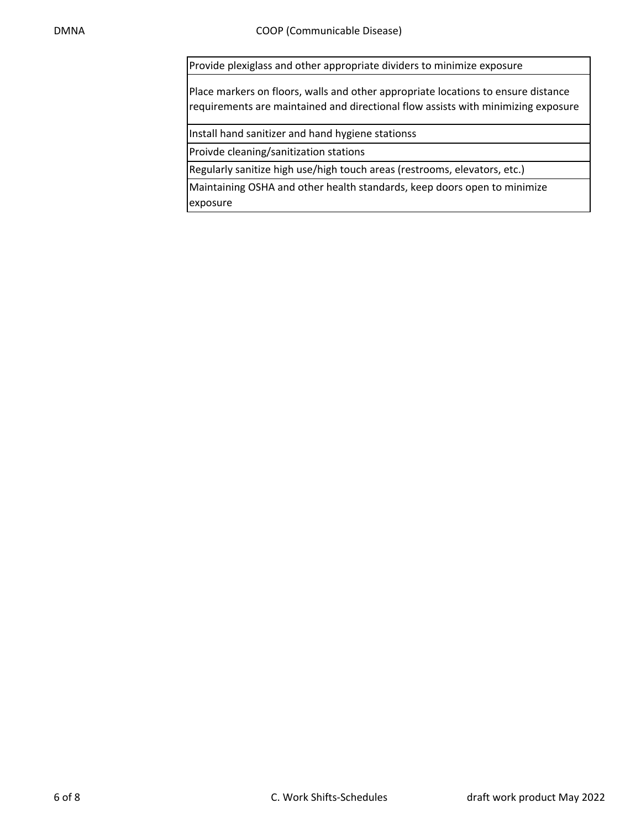Provide plexiglass and other appropriate dividers to minimize exposure

Place markers on floors, walls and other appropriate locations to ensure distance requirements are maintained and directional flow assists with minimizing exposure

Install hand sanitizer and hand hygiene stationss

Proivde cleaning/sanitization stations

Regularly sanitize high use/high touch areas (restrooms, elevators, etc.)

Maintaining OSHA and other health standards, keep doors open to minimize exposure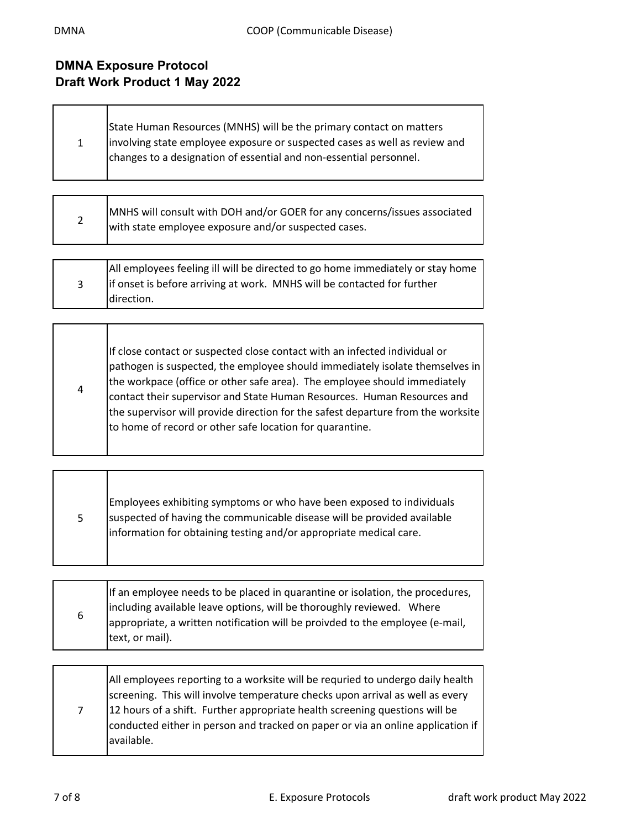$\Gamma$ 

## **DMNA Exposure Protocol Draft Work Product 1 May 2022**

Τ

┓

Т

| State Human Resources (MNHS) will be the primary contact on matters<br>involving state employee exposure or suspected cases as well as review and |
|---------------------------------------------------------------------------------------------------------------------------------------------------|
|                                                                                                                                                   |
| changes to a designation of essential and non-essential personnel.                                                                                |
|                                                                                                                                                   |

|            | MNHS will consult with DOH and/or GOER for any concerns/issues associated |
|------------|---------------------------------------------------------------------------|
| $\epsilon$ | with state employee exposure and/or suspected cases.                      |

| All employees feeling ill will be directed to go home immediately or stay home |
|--------------------------------------------------------------------------------|
| lif onset is before arriving at work. MNHS will be contacted for further       |
| direction.                                                                     |

|   | If close contact or suspected close contact with an infected individual or                                                                           |
|---|------------------------------------------------------------------------------------------------------------------------------------------------------|
| 4 | pathogen is suspected, the employee should immediately isolate themselves in                                                                         |
|   | the workpace (office or other safe area). The employee should immediately<br>contact their supervisor and State Human Resources. Human Resources and |
|   |                                                                                                                                                      |
|   | the supervisor will provide direction for the safest departure from the worksite                                                                     |
|   | to home of record or other safe location for quarantine.                                                                                             |
|   |                                                                                                                                                      |

| 5. | Employees exhibiting symptoms or who have been exposed to individuals<br>suspected of having the communicable disease will be provided available<br>information for obtaining testing and/or appropriate medical care. |
|----|------------------------------------------------------------------------------------------------------------------------------------------------------------------------------------------------------------------------|
|    |                                                                                                                                                                                                                        |

|   | If an employee needs to be placed in quarantine or isolation, the procedures,<br>including available leave options, will be thoroughly reviewed. Where |
|---|--------------------------------------------------------------------------------------------------------------------------------------------------------|
| 6 | appropriate, a written notification will be proivded to the employee (e-mail,<br>text, or mail).                                                       |
|   |                                                                                                                                                        |

| 12 hours of a shift. Further appropriate health screening questions will be<br>$7^{\circ}$<br>available. |  |  | All employees reporting to a worksite will be requried to undergo daily health<br>screening. This will involve temperature checks upon arrival as well as every<br>conducted either in person and tracked on paper or via an online application if |
|----------------------------------------------------------------------------------------------------------|--|--|----------------------------------------------------------------------------------------------------------------------------------------------------------------------------------------------------------------------------------------------------|
|----------------------------------------------------------------------------------------------------------|--|--|----------------------------------------------------------------------------------------------------------------------------------------------------------------------------------------------------------------------------------------------------|